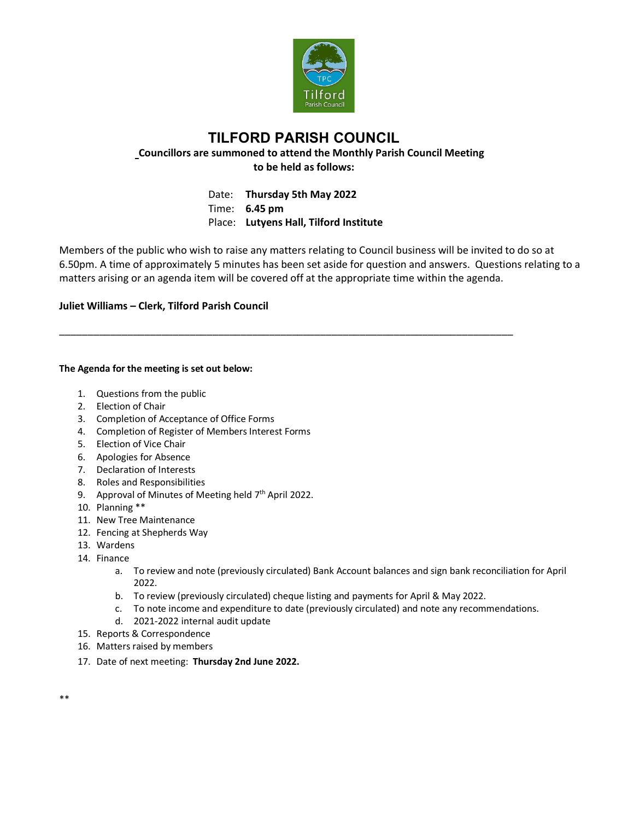

## **TILFORD PARISH COUNCIL Councillors are summoned to attend the Monthly Parish Council Meeting to be held as follows:**

Date: **Thursday 5th May 2022** Time: **6.45 pm** Place: **Lutyens Hall, Tilford Institute**

\_\_\_\_\_\_\_\_\_\_\_\_\_\_\_\_\_\_\_\_\_\_\_\_\_\_\_\_\_\_\_\_\_\_\_\_\_\_\_\_\_\_\_\_\_\_\_\_\_\_\_\_\_\_\_\_\_\_\_\_\_\_\_\_\_\_\_\_\_\_\_\_\_\_\_\_\_\_\_\_

Members of the public who wish to raise any matters relating to Council business will be invited to do so at 6.50pm. A time of approximately 5 minutes has been set aside for question and answers. Questions relating to a matters arising or an agenda item will be covered off at the appropriate time within the agenda.

## **Juliet Williams – Clerk, Tilford Parish Council**

## **The Agenda for the meeting is set out below:**

- 1. Questions from the public
- 2. Election of Chair
- 3. Completion of Acceptance of Office Forms
- 4. Completion of Register of Members Interest Forms
- 5. Election of Vice Chair
- 6. Apologies for Absence
- 7. Declaration of Interests
- 8. Roles and Responsibilities
- 9. Approval of Minutes of Meeting held  $7<sup>th</sup>$  April 2022.
- 10. Planning \*\*
- 11. New Tree Maintenance
- 12. Fencing at Shepherds Way
- 13. Wardens
- 14. Finance
	- a. To review and note (previously circulated) Bank Account balances and sign bank reconciliation for April 2022.
	- b. To review (previously circulated) cheque listing and payments for April & May 2022.
	- c. To note income and expenditure to date (previously circulated) and note any recommendations.
	- d. 2021-2022 internal audit update
- 15. Reports & Correspondence
- 16. Matters raised by members
- 17. Date of next meeting: **Thursday 2nd June 2022.**